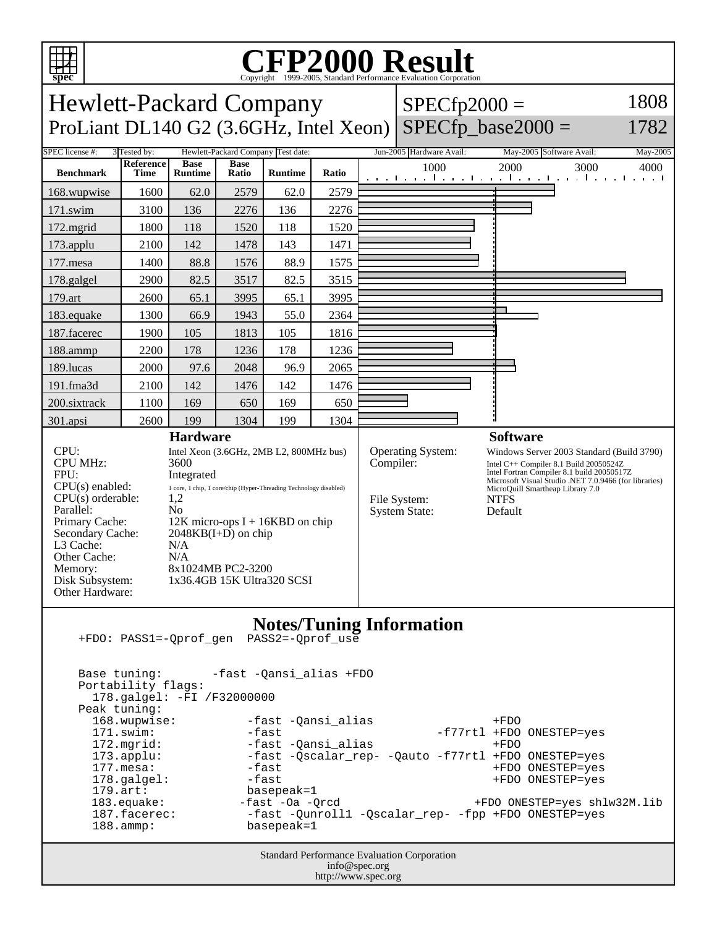

Other Hardware:

## C<sub>opyright</sub> ©1999-2005, Standard Performance Evaluation Corporation

Hewlett-Packard Company ProLiant DL140 G2 (3.6GHz, Intel Xeon)  $SPECfp2000 =$  $SPECfp\_base2000 =$ 1808 1782 SPEC license #: 3 Tested by: Hewlett-Packard Company Test date: Jun-2005 Hardware Avail: May-2005 Software Avail: May-2005

| <b>Benchmark</b>                                                                                         | Reference<br>Time | <b>Base</b><br><b>Runtime</b>                                                                                                                                                        | <b>Base</b><br>Ratio | <b>Runtime</b> | Ratio | 1000                                                                          | 2000<br>3000<br>4000<br>المستحل والمستحل والمتستح المتستحل والمنافذة<br><b>The contract of the United States</b>                                                                                                                                         |
|----------------------------------------------------------------------------------------------------------|-------------------|--------------------------------------------------------------------------------------------------------------------------------------------------------------------------------------|----------------------|----------------|-------|-------------------------------------------------------------------------------|----------------------------------------------------------------------------------------------------------------------------------------------------------------------------------------------------------------------------------------------------------|
| 168.wupwise                                                                                              | 1600              | 62.0                                                                                                                                                                                 | 2579                 | 62.0           | 2579  |                                                                               |                                                                                                                                                                                                                                                          |
| $171$ .swim                                                                                              | 3100              | 136                                                                                                                                                                                  | 2276                 | 136            | 2276  |                                                                               |                                                                                                                                                                                                                                                          |
| $172$ . mgrid                                                                                            | 1800              | 118                                                                                                                                                                                  | 1520                 | 118            | 1520  |                                                                               |                                                                                                                                                                                                                                                          |
| $173$ .applu                                                                                             | 2100              | 142                                                                                                                                                                                  | 1478                 | 143            | 1471  |                                                                               |                                                                                                                                                                                                                                                          |
| $177$ mesa                                                                                               | 1400              | 88.8                                                                                                                                                                                 | 1576                 | 88.9           | 1575  |                                                                               |                                                                                                                                                                                                                                                          |
| 178.galgel                                                                                               | 2900              | 82.5                                                                                                                                                                                 | 3517                 | 82.5           | 3515  |                                                                               |                                                                                                                                                                                                                                                          |
| 179.art                                                                                                  | 2600              | 65.1                                                                                                                                                                                 | 3995                 | 65.1           | 3995  |                                                                               |                                                                                                                                                                                                                                                          |
| 183.equake                                                                                               | 1300              | 66.9                                                                                                                                                                                 | 1943                 | 55.0           | 2364  |                                                                               |                                                                                                                                                                                                                                                          |
| 187.facerec                                                                                              | 1900              | 105                                                                                                                                                                                  | 1813                 | 105            | 1816  |                                                                               |                                                                                                                                                                                                                                                          |
| 188.ammp                                                                                                 | 2200              | 178                                                                                                                                                                                  | 1236                 | 178            | 1236  |                                                                               |                                                                                                                                                                                                                                                          |
| 189.lucas                                                                                                | 2000              | 97.6                                                                                                                                                                                 | 2048                 | 96.9           | 2065  |                                                                               |                                                                                                                                                                                                                                                          |
| 191.fma3d                                                                                                | 2100              | 142                                                                                                                                                                                  | 1476                 | 142            | 1476  |                                                                               |                                                                                                                                                                                                                                                          |
| 200.sixtrack                                                                                             | 1100              | 169                                                                                                                                                                                  | 650                  | 169            | 650   |                                                                               |                                                                                                                                                                                                                                                          |
| 301.apsi                                                                                                 | 2600              | 199                                                                                                                                                                                  | 1304                 | 199            | 1304  |                                                                               |                                                                                                                                                                                                                                                          |
| <b>Hardware</b>                                                                                          |                   |                                                                                                                                                                                      |                      |                |       | <b>Software</b>                                                               |                                                                                                                                                                                                                                                          |
| CPU:<br><b>CPU MHz:</b><br>FPU:<br>CPU(s) enabled:<br>$CPU(s)$ orderable:<br>Parallel:<br>Primary Cache: |                   | Intel Xeon (3.6GHz, 2MB L2, 800MHz bus)<br>3600<br>Integrated<br>1 core, 1 chip, 1 core/chip (Hyper-Threading Technology disabled)<br>1,2<br>No<br>$12K$ micro-ops I + 16KBD on chip |                      |                |       | <b>Operating System:</b><br>Compiler:<br>File System:<br><b>System State:</b> | Windows Server 2003 Standard (Build 3790)<br>Intel C++ Compiler 8.1 Build 20050524Z<br>Intel Fortran Compiler 8.1 build 20050517Z<br>Microsoft Visual Studio .NET 7.0.9466 (for libraries)<br>MicroQuill Smartheap Library 7.0<br><b>NTFS</b><br>Default |
| Secondary Cache:<br>L <sub>3</sub> Cache:<br>Other Cache:<br>Memory:<br>Disk Subsystem:                  |                   | $2048KB(I+D)$ on chip<br>N/A<br>N/A<br>8x1024MB PC2-3200<br>1x36.4GB 15K Ultra320 SCSI                                                                                               |                      |                |       |                                                                               |                                                                                                                                                                                                                                                          |

## **Notes/Tuning Information** +FDO: PASS1=-Qprof\_gen PASS2=-Qprof\_use

Standard Performance Evaluation Corporation info@spec.org Base tuning: -fast -Qansi\_alias +FDO Portability flags: 178.galgel: -FI /F32000000 Peak tuning:<br>168.wupwise: 168.wupwise: -fast -Qansi\_alias +FDO<br>171.swim: -fast -fast -fast -f77rtl +FDO -f77rtl +FDO ONESTEP=yes 172.mgrid: -fast -Qansi alias +FDO 173.applu: -fast -Qscalar\_rep- -Qauto -f77rtl +FDO ONESTEP=yes<br>177.mesa: -fast -fast +FDO ONESTEP=yes 177.mesa: -fast +FDO ONESTEP=yes 178.galgel: -fast +FDO ONESTEP=yes 179.art: basepeak=1<br>183.equake: - fast -0a -Qrcd +FDO ONESTEP=yes shlw32M.lib 187.facerec: - -fast -Qunroll1 -Qscalar\_rep- -fpp +FDO ONESTEP=yes 188.ammp: basepeak=1

http://www.spec.org